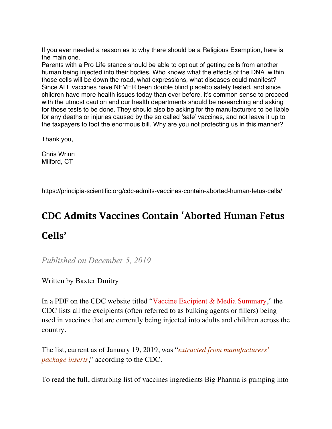If you ever needed a reason as to why there should be a Religious Exemption, here is the main one.

Parents with a Pro Life stance should be able to opt out of getting cells from another human being injected into their bodies. Who knows what the effects of the DNA within those cells will be down the road, what expressions, what diseases could manifest? Since ALL vaccines have NEVER been double blind placebo safety tested, and since children have more health issues today than ever before, it's common sense to proceed with the utmost caution and our health departments should be researching and asking for those tests to be done. They should also be asking for the manufacturers to be liable for any deaths or injuries caused by the so called 'safe' vaccines, and not leave it up to the taxpayers to foot the enormous bill. Why are you not protecting us in this manner?

Thank you,

Chris Wrinn Milford, CT

https://principia-scientific.org/cdc-admits-vaccines-contain-aborted-human-fetus-cells/

## **CDC Admits Vaccines Contain 'Aborted Human Fetus Cells'**

*Published on December 5, 2019*

## Written by Baxter Dmitry

In a PDF on the CDC website titled "[Vaccine Excipient & Media Summary,](https://www.cdc.gov/vaccines/pubs/pinkbook/downloads/appendices/B/excipient-table-2.pdf)" the CDC lists all the excipients (often referred to as bulking agents or fillers) being used in vaccines that are currently being injected into adults and children across the country.

The list, current as of January 19, 2019, was "*extracted from manufacturers' package inserts*," according to the CDC.

To read the full, disturbing list of vaccines ingredients Big Pharma is pumping into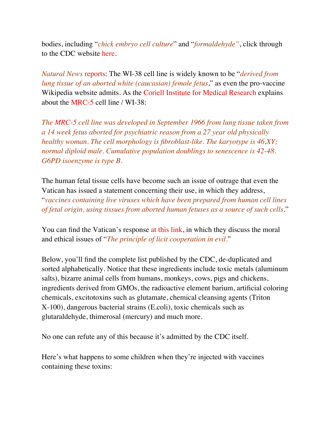bodies, including "*chick embryo cell culture*" and "*formaldehyde"*, click through to the CDC website [here.](https://www.cdc.gov/vaccines/pubs/pinkbook/downloads/appendices/B/excipient-table-2.pdf)

*Natural News* [reports](http://www.naturalnews.com/2017-03-06-cdc-document-bombshell-reveals-list-of-all-vaccine-excipients-including-african-green-monkey-kidney-cells-and-fibroblast-cells-from-aborted-human-fetuses-see-the-complete-list.html): The WI-38 cell line is widely known to be "*derived from lung tissue of an aborted white (caucasian) female fetus*," as even the pro-vaccine Wikipedia website admits. As the [Coriell Institute for Medical Research](https://www.coriell.org/) explains about the [MRC-5](http://ethicalresearch.net/positions/the-ethics-of-the-walvax-2-cell-strain/) cell line / WI-38:

*The [MRC-5](https://www.coriell.org/0/Sections/Search/Sample_Detail.aspx?Ref=AG05965-C&PgId=166) cell line was developed in September 1966 from lung tissue taken from a 14 week fetus aborted for psychiatric reason from a 27 year old physically healthy woman. The cell morphology is fibroblast-like. The karyotype is 46,XY; normal diploid male. Cumulative population doublings to senescence is 42-48. G6PD isoenzyme is type B.*

The human fetal tissue cells have become such an issue of outrage that even the Vatican has issued a statement concerning their use, in which they address, "*vaccines containing live viruses which have been prepared from human cell lines of fetal origin, using tissues from aborted human fetuses as a source of such cells*."

You can find the Vatican's response [at this link,](https://www.scribd.com/document/4095777/Vatican-response-to-vaccines) in which they discuss the moral and ethical issues of "*The principle of licit cooperation in evil.*"

Below, you'll find the complete list published by the CDC, de-duplicated and sorted alphabetically. Notice that these ingredients include toxic metals (aluminum salts), bizarre animal cells from humans, monkeys, cows, pigs and chickens, ingredients derived from GMOs, the radioactive element barium, artificial coloring chemicals, excitotoxins such as glutamate, chemical cleansing agents (Triton X-100), dangerous bacterial strains (E.coli), toxic chemicals such as glutaraldehyde, thimerosal (mercury) and much more.

No one can refute any of this because it's admitted by the CDC itself.

Here's what happens to some children when they're injected with vaccines containing these toxins: